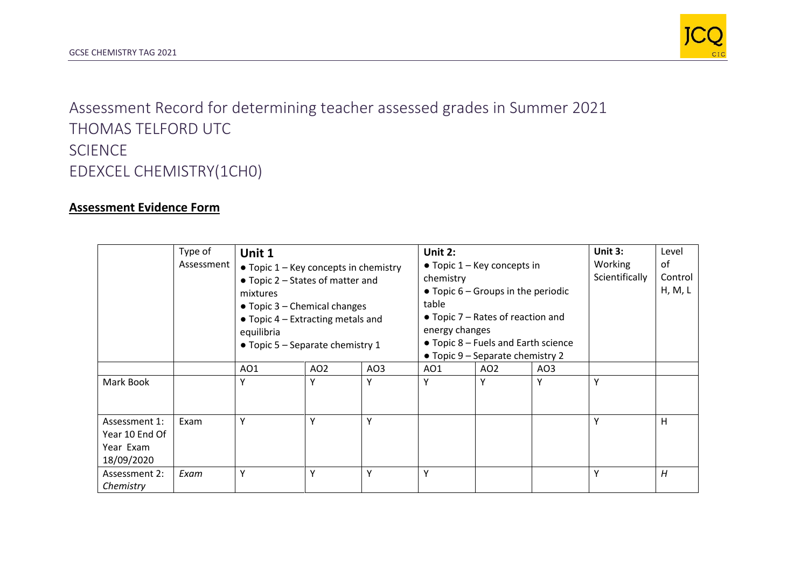

Assessment Record for determining teacher assessed grades in Summer 2021 THOMAS TELFORD UTC SCIENCE EDEXCEL CHEMISTRY(1CH0)

## **Assessment Evidence Form**

|                                                            | Type of<br>Assessment | Unit 1<br>$\bullet$ Topic 1 – Key concepts in chemistry<br>$\bullet$ Topic 2 – States of matter and<br>mixtures<br>$\bullet$ Topic 3 – Chemical changes<br>$\bullet$ Topic 4 – Extracting metals and<br>equilibria<br>• Topic 5 – Separate chemistry 1 |                 |                 | Unit 2:<br>$\bullet$ Topic 1 – Key concepts in<br>chemistry<br>$\bullet$ Topic 6 – Groups in the periodic<br>table<br>$\bullet$ Topic 7 – Rates of reaction and<br>energy changes<br>• Topic 8 – Fuels and Earth science<br>• Topic 9 – Separate chemistry 2 |                 |                 | Unit 3:<br>Working<br>Scientifically | Level<br>of<br>Control<br>H, M, L |
|------------------------------------------------------------|-----------------------|--------------------------------------------------------------------------------------------------------------------------------------------------------------------------------------------------------------------------------------------------------|-----------------|-----------------|--------------------------------------------------------------------------------------------------------------------------------------------------------------------------------------------------------------------------------------------------------------|-----------------|-----------------|--------------------------------------|-----------------------------------|
|                                                            |                       | AO <sub>1</sub>                                                                                                                                                                                                                                        | AO <sub>2</sub> | AO <sub>3</sub> | AO1                                                                                                                                                                                                                                                          | AO <sub>2</sub> | AO <sub>3</sub> |                                      |                                   |
| Mark Book                                                  |                       | Υ                                                                                                                                                                                                                                                      | Υ               | Υ               | Υ                                                                                                                                                                                                                                                            | Υ               | Υ               | Υ                                    |                                   |
| Assessment 1:<br>Year 10 End Of<br>Year Exam<br>18/09/2020 | Exam                  | Υ                                                                                                                                                                                                                                                      | Υ               | Υ               |                                                                                                                                                                                                                                                              |                 |                 | Υ                                    | н                                 |
| Assessment 2:<br>Chemistry                                 | Exam                  | Υ                                                                                                                                                                                                                                                      | Y               | Υ               | Υ                                                                                                                                                                                                                                                            |                 |                 | Υ                                    | H                                 |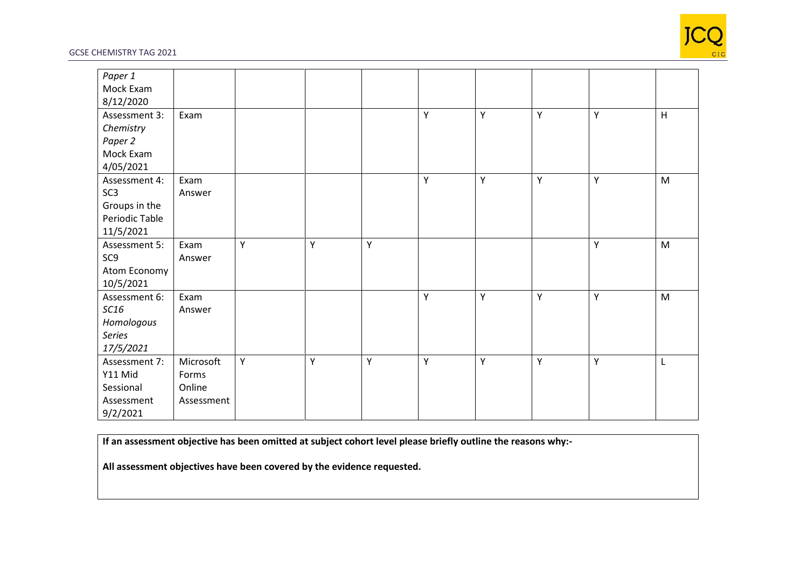

## GCSE CHEMISTRY TAG 2021

| Paper 1         |            |   |   |   |   |   |   |   |   |
|-----------------|------------|---|---|---|---|---|---|---|---|
| Mock Exam       |            |   |   |   |   |   |   |   |   |
| 8/12/2020       |            |   |   |   |   |   |   |   |   |
| Assessment 3:   | Exam       |   |   |   | Υ | Υ | Υ | Υ | H |
| Chemistry       |            |   |   |   |   |   |   |   |   |
| Paper 2         |            |   |   |   |   |   |   |   |   |
| Mock Exam       |            |   |   |   |   |   |   |   |   |
| 4/05/2021       |            |   |   |   |   |   |   |   |   |
| Assessment 4:   | Exam       |   |   |   | Y | Υ | Y | Υ | M |
| SC <sub>3</sub> | Answer     |   |   |   |   |   |   |   |   |
| Groups in the   |            |   |   |   |   |   |   |   |   |
| Periodic Table  |            |   |   |   |   |   |   |   |   |
| 11/5/2021       |            |   |   |   |   |   |   |   |   |
| Assessment 5:   | Exam       | Υ | Υ | Υ |   |   |   | Υ | M |
| SC <sub>9</sub> | Answer     |   |   |   |   |   |   |   |   |
| Atom Economy    |            |   |   |   |   |   |   |   |   |
| 10/5/2021       |            |   |   |   |   |   |   |   |   |
| Assessment 6:   | Exam       |   |   |   | Υ | Υ | Υ | Υ | M |
| SC16            | Answer     |   |   |   |   |   |   |   |   |
| Homologous      |            |   |   |   |   |   |   |   |   |
| Series          |            |   |   |   |   |   |   |   |   |
| 17/5/2021       |            |   |   |   |   |   |   |   |   |
| Assessment 7:   | Microsoft  | Υ | Υ | Υ | Υ | Y | Υ | Υ | L |
| Y11 Mid         | Forms      |   |   |   |   |   |   |   |   |
| Sessional       | Online     |   |   |   |   |   |   |   |   |
| Assessment      | Assessment |   |   |   |   |   |   |   |   |
| 9/2/2021        |            |   |   |   |   |   |   |   |   |

**If an assessment objective has been omitted at subject cohort level please briefly outline the reasons why:-**

**All assessment objectives have been covered by the evidence requested.**